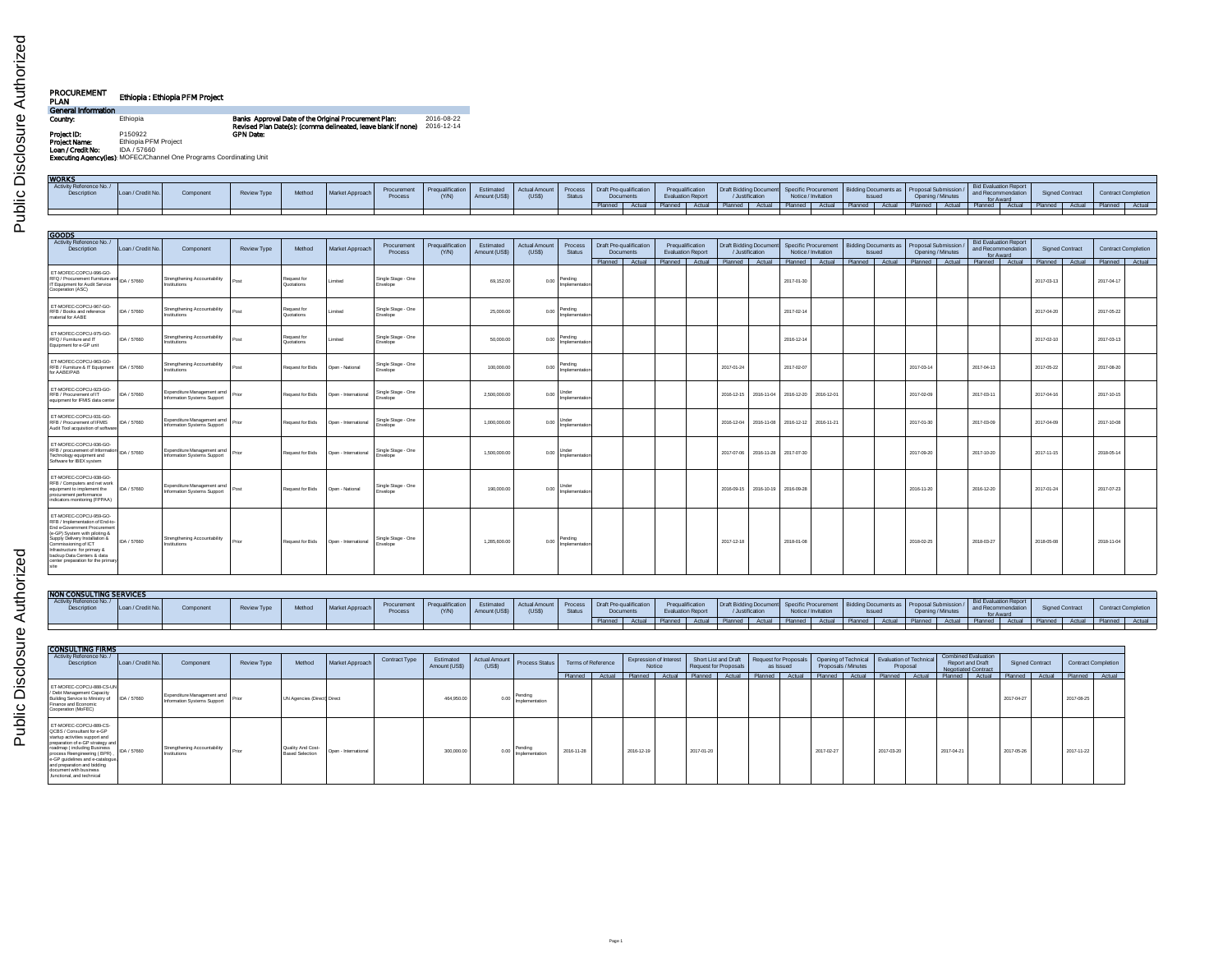## **PROCUREMENT PLAN Ethiopia : Ethiopia PFM Project General Information Country:** Ethiopia **Banks Approval Date of the Original Procurement Plan:** 2016-08-22 **Revised Plan Date(s): (comma delineated, leave blank if none)** 2016-12-14 P**roject ID:** P150922<br>Pro**ject Name: E**thiopia PFM Project<br>**Loan / Credit No: I**DA / 57660<br>**Executing Agency(les):** MOFEC/Channel One Programs Coordinating Unit

| <b>WORKS</b>                                                                                                                                                                                                                                                                                     |                   |                                                                 |                    |                           |                        |                                |                          |                            |                               |                                |                  |                                      |                          |                                              |                                                  |                                |                                                    |                |                                                             |                                          |                   |                                                                 |                                                   |                            |  |
|--------------------------------------------------------------------------------------------------------------------------------------------------------------------------------------------------------------------------------------------------------------------------------------------------|-------------------|-----------------------------------------------------------------|--------------------|---------------------------|------------------------|--------------------------------|--------------------------|----------------------------|-------------------------------|--------------------------------|------------------|--------------------------------------|--------------------------|----------------------------------------------|--------------------------------------------------|--------------------------------|----------------------------------------------------|----------------|-------------------------------------------------------------|------------------------------------------|-------------------|-----------------------------------------------------------------|---------------------------------------------------|----------------------------|--|
| Activity Reference No.<br>Description                                                                                                                                                                                                                                                            | Loan / Credit No. | Component                                                       | <b>Review Type</b> | Method                    | Market Approach        | Procurement<br>Process         | Pregualification<br>(YM) | Estimated<br>Amount (US\$) | <b>Actual Amount</b><br>(USS) | Process<br>Status              |                  | Draft Pre-qualification<br>Documents | <b>Evaluation Report</b> | Pregualification                             | Draft Bidding Document<br>/ Justification        |                                | Specific Procurement<br>Notice / Invitation        |                | Bidding Documents as<br><b>Issued</b>                       | Proposal Submission<br>Opening / Minutes |                   | <b>Bid Evaluation Report</b><br>and Recommendation<br>for Award | <b>Signed Contract</b>                            | <b>Contract Completion</b> |  |
|                                                                                                                                                                                                                                                                                                  |                   |                                                                 |                    |                           |                        |                                |                          |                            |                               |                                | Planned   Actual |                                      | Planned   Actual         |                                              | Planned Actual                                   | Planned Actual                 |                                                    | Planned Actual |                                                             |                                          |                   | Planned Actual Planned Actual                                   | Planned Actual Planned Actual                     |                            |  |
|                                                                                                                                                                                                                                                                                                  |                   |                                                                 |                    |                           |                        |                                |                          |                            |                               |                                |                  |                                      |                          |                                              |                                                  |                                |                                                    |                |                                                             |                                          |                   |                                                                 |                                                   |                            |  |
| <b>GOODS</b>                                                                                                                                                                                                                                                                                     |                   |                                                                 |                    |                           |                        |                                |                          |                            |                               |                                |                  |                                      |                          |                                              |                                                  |                                |                                                    |                |                                                             |                                          |                   |                                                                 |                                                   |                            |  |
| Activity Reference No./<br>Description                                                                                                                                                                                                                                                           | Loan / Credit No. | Component                                                       | <b>Review Type</b> | Method                    | <b>Market Approach</b> | Procurement<br><b>Process</b>  | Pregualification<br>(YM) | Estimated<br>Amount (US\$) | <b>Actual Amount</b><br>(USS) | Process<br><b>Status</b>       |                  | Draft Pre-qualification<br>Documents |                          | Pregualification<br><b>Evaluation Report</b> | <b>Draft Bidding Document</b><br>/ Justification |                                | <b>Specific Procurement</b><br>Notice / Invitation |                | Bidding Documents as   Proposal Submission<br><b>Issued</b> |                                          | Opening / Minutes | <b>Bid Evaluation Report</b><br>and Recommendation<br>for Award | <b>Signed Contract</b>                            | <b>Contract Completion</b> |  |
| ET-MOFEC-COPCU-996-GO-<br>RFQ / Procurement Furniture and IDA / 57660<br>IT Equipment for Audit Service<br>Cooperation (ASC)                                                                                                                                                                     |                   | Strengthening Accountability<br>Institutions                    | Post               | Request for<br>Quotations | Limited                | Single Stage - One<br>Envelope |                          | 69.152.00                  | 0.00                          | Pending<br>Implementation      |                  | Planned   Actual                     | Planned Actual           |                                              | Planned Actual                                   | Planned   Actual<br>2017-01-30 |                                                    | Planned Actual |                                                             |                                          |                   | Planned Actual Planned Actual                                   | Planned   Actual   Planned   Actual<br>2017-03-13 | 2017-04-17                 |  |
| ET-MOFEC-COPCU-967-GO-<br>RFB / Books and reference<br>material for AABE                                                                                                                                                                                                                         | IDA / 57660       | Strengthening Accountability<br>Institutions                    | Post               | Request for<br>Quotations | Limited                | Single Stage - One<br>Envelope |                          | 25,000.00                  | 0.00                          | Pending<br>Implementation      |                  |                                      |                          |                                              |                                                  | 2017-02-14                     |                                                    |                |                                                             |                                          |                   |                                                                 | 2017-04-20                                        | 2017-06-22                 |  |
| ET-MOFEC-COPCU-975-GO-<br>RFQ / Furniture and IT<br>Equipment for e-GP unit                                                                                                                                                                                                                      | IDA / 57660       | Strengthening Accountability<br>Institutions                    | Post               | Request for<br>Quotations | Limited                | Single Stage - One<br>Envelope |                          | 50,000.00                  | 0.00                          | Pending<br>Implementation      |                  |                                      |                          |                                              |                                                  | 2016-12-14                     |                                                    |                |                                                             |                                          |                   |                                                                 | 2017-02-10                                        | 2017-03-13                 |  |
| ET-MOFEC-COPCU-963-GO-<br>RFB / Furniture & IT Equipment   IDA / 57660<br>for AABE/PAB                                                                                                                                                                                                           |                   | Strengthening Accountability<br>Institutions                    | Post               | Request for Bids          | Open - National        | Single Stage - One<br>Envelope |                          | 100,000.00                 | 0.00                          | Pending<br>Implementation      |                  |                                      |                          | 2017-01-24                                   |                                                  | 2017-02-07                     |                                                    |                |                                                             | 2017-03-14                               |                   | 2017-04-13                                                      | 2017-05-22                                        | 2017-08-20                 |  |
| ET-MOFEC-COPCU-923-GO-<br>RFB / Procurement of IT<br>equipment for IFMIS data cente                                                                                                                                                                                                              | IDA / 57660       | Expenditure Management amd<br>Information Systems Support       | Print              | Request for Bids          | Open - International   | Single Stage - One<br>Envelope |                          | 2,500,000.00               | 0.00                          | Under<br>Implementation        |                  |                                      |                          | 2016-12-15                                   | 2016-11-04                                       | 2016-12-20                     | 2016-12-01                                         |                |                                                             | 2017-02-09                               |                   | 2017-03-11                                                      | 2017-04-16                                        | 2017-10-15                 |  |
| ET-MOFEC-COPCU-931-GO-<br>RFB / Procurement of IFMIS<br>Audit Tool acquisition of software                                                                                                                                                                                                       | IDA / 57660       | Expenditure Management amd<br>Information Systems Support       | Prior              | Request for Bids          | Open - International   | Single Stage - One<br>Envelope |                          | 1.000.000.00               | 0.00                          | Under<br>Implementation        |                  |                                      |                          | 2016-12-04                                   | 2016-11-08                                       | 2016-12-12                     | 2016-11-21                                         |                |                                                             | 2017-01-30                               |                   | 2017-03-09                                                      | 2017-04-09                                        | 2017-10-08                 |  |
| ET-MOFEC-COPCU-936-GO-<br>RFB / procurement of Information IDA / 57660<br>Technology equipment and<br>Software for IBEX system                                                                                                                                                                   |                   | Expenditure Management amd Prior<br>Information Systems Support |                    | Request for Bids          | Open - International   | Single Stage - One<br>Envelope |                          | 1,500,000.00               | 0.00                          | <b>Under</b><br>Implementation |                  |                                      |                          | 2017-07-06                                   | 2016-11-28                                       | 2017-07-30                     |                                                    |                |                                                             | 2017-09-20                               |                   | 2017-10-20                                                      | 2017-11-15                                        | 2018-05-14                 |  |
| ET-MOFEC-COPCU-938-GO-<br>RFB / Computers and net work<br>equipment to implement the<br>procurement performance<br>indicators monitoring (FPPAA)                                                                                                                                                 | IDA / 57660       | Expenditure Management amd<br>Information Systems Support       | Post               | Request for Bids          | Open - National        | Single Stage - One<br>Envelope |                          | 190,000.00                 | 0.00                          | Under<br>Implementation        |                  |                                      |                          | 2016-09-15                                   |                                                  | 2016-10-19 2016-09-28          |                                                    |                |                                                             | 2016-11-20                               |                   | 2016-12-20                                                      | 2017-01-24                                        | 2017-07-23                 |  |
| ET-MOFEC-COPCU-959-GO-<br>RFB / Implementation of End-to-<br>End e-Government Procurement<br>(e-GP) System with piloting &<br>Supply Delivery Installation &<br>Commissioning of ICT<br>Infrastructure for primary &<br>backup Data Centers & data<br>center preparation for the primary<br>site | IDA / 57660       | Strengthening Accountability<br>Institutions                    | Prior              | Request for Bids          | Open - International   | Single Stage - One<br>Envelope |                          | 1,285,600.00               | 0.00                          | Pending<br>Implementation      |                  |                                      |                          | 2017-12-18                                   |                                                  | 2018-01-08                     |                                                    |                |                                                             | 2018-02-25                               |                   | 2018-03-27                                                      | 2018-05-08                                        | 2018-11-04                 |  |

| <b>NON CONSULTING SERVICES</b>       |                   |          |             |        |                           |                     |     |              |                      |        |                                 |                     |                                             |                   |        |                                                                |       |                                                           |        |                   |        |                                           |        |               |        |                            |        |
|--------------------------------------|-------------------|----------|-------------|--------|---------------------------|---------------------|-----|--------------|----------------------|--------|---------------------------------|---------------------|---------------------------------------------|-------------------|--------|----------------------------------------------------------------|-------|-----------------------------------------------------------|--------|-------------------|--------|-------------------------------------------|--------|---------------|--------|----------------------------|--------|
| Activity Reference No.<br>Descriptio | I nan / Credit No | Componen | Review Type | Method | A Angela<br>it Approach I | Procureme<br>Proces | N/N | Amount (USS) | Actual Amou<br>(USS) | Status | Draft Pre-qualificat<br>Documer |                     | requalification<br><b>Evaluation Report</b> | / lustification   |        | Draft Bidding Document Specific Procure<br>Notice / Invitation |       | Bidding Documents as   Proposal Submissic<br><b>ssued</b> |        | Opening / Minutes |        | <b>Rid Evaluation Report</b><br>for Award |        | Signed Contr. |        | <b>Contract Completion</b> |        |
|                                      |                   |          |             |        |                           |                     |     |              |                      |        | Planner                         | Acture <sup>1</sup> | and the party of the control                | <b>Discovered</b> | Actual | <b>Discovered</b>                                              | Actua | <b>Discover</b>                                           | Actual | Distanced L.      | Actual | Planned                                   | Actual | D             | Actual | Planned                    | Actual |
|                                      |                   |          |             |        |                           |                     |     |              |                      |        |                                 |                     |                                             |                   |        |                                                                |       |                                                           |        |                   |        |                                           |        |               |        |                            |        |

| CONSULTING FIRMS                                                                                                                                                                                                                                                                                                   |                   |                                                                 |             |                                                           |                 |               |                            |                         |                                           |                    |        |                                  |        |                                                      |        |           |                                                                        |                     |            |        |                                                                              |        |                 |        |                            |  |
|--------------------------------------------------------------------------------------------------------------------------------------------------------------------------------------------------------------------------------------------------------------------------------------------------------------------|-------------------|-----------------------------------------------------------------|-------------|-----------------------------------------------------------|-----------------|---------------|----------------------------|-------------------------|-------------------------------------------|--------------------|--------|----------------------------------|--------|------------------------------------------------------|--------|-----------|------------------------------------------------------------------------|---------------------|------------|--------|------------------------------------------------------------------------------|--------|-----------------|--------|----------------------------|--|
| Activity Reference No./<br>Description                                                                                                                                                                                                                                                                             | Loan / Credit No. | Component                                                       | Review Type | Method                                                    | Market Approach | Contract Type | Estimated<br>Amount (US\$) | Actual Amount<br>(US\$) | <b>Process Status</b>                     | Terms of Reference |        | Expression of Interest<br>Notice |        | Short List and Draft<br><b>Request for Proposals</b> |        | as Issued | Request for Proposals   Opening of Technical   Evaluation of Technical | Proposals / Minutes | Proposal   |        | <b>Combined Evaluation</b><br>Report and Draft<br><b>Negotiated Contract</b> |        | Signed Contract |        | <b>Contract Completion</b> |  |
|                                                                                                                                                                                                                                                                                                                    |                   |                                                                 |             |                                                           |                 |               |                            |                         |                                           | Planned            | Actual | Planned                          | Actual | <b>Planned</b>                                       | Actual | Planned   | Actual                                                                 | Planned Actual      | Planned    | Actual | Planned                                                                      | Actual | Planned         | Actual | Planned Actual             |  |
| ET-MOFEC-COPCU-888-CS-UN<br>/ Debt Management Capacity<br>Building Service to Ministry of<br>Finance and Economic<br>Cooperation (MoFEC)                                                                                                                                                                           | IDA / 57660       | Expenditure Management amd Prior<br>Information Systems Support |             | UN Agencies (Direct) Direct                               |                 |               | 464,950.00                 |                         | Pending<br>0.00 Pending<br>Implementation |                    |        |                                  |        |                                                      |        |           |                                                                        |                     |            |        |                                                                              |        | 2017-04-27      |        | 2017-08-25                 |  |
| ET-MOFEC-COPCU-889-CS-<br>QCBS / Consultant for e-GP<br>startup activities support and<br>preparation of e-GP strategy and<br>roadmap (including Business<br>process Reengineering (BPR),<br>e-GP quidelines and e-catalogue<br>and preparation and bidding<br>document with business<br>functional, and technical | IDA / 57660       | Strengthening Accountability<br>Institutions                    | Prior       | Quality And Cost-<br>Based Selection Open - International |                 |               | 300,000.00                 |                         | Pending<br>0.00 mplementation             | 2016-11-28         |        | 2016-12-19                       |        | 2017-01-20                                           |        |           |                                                                        | 2017-02-27          | 2017-03-20 |        | 2017-04-21                                                                   |        | 2017-05-26      |        | 2017-11-22                 |  |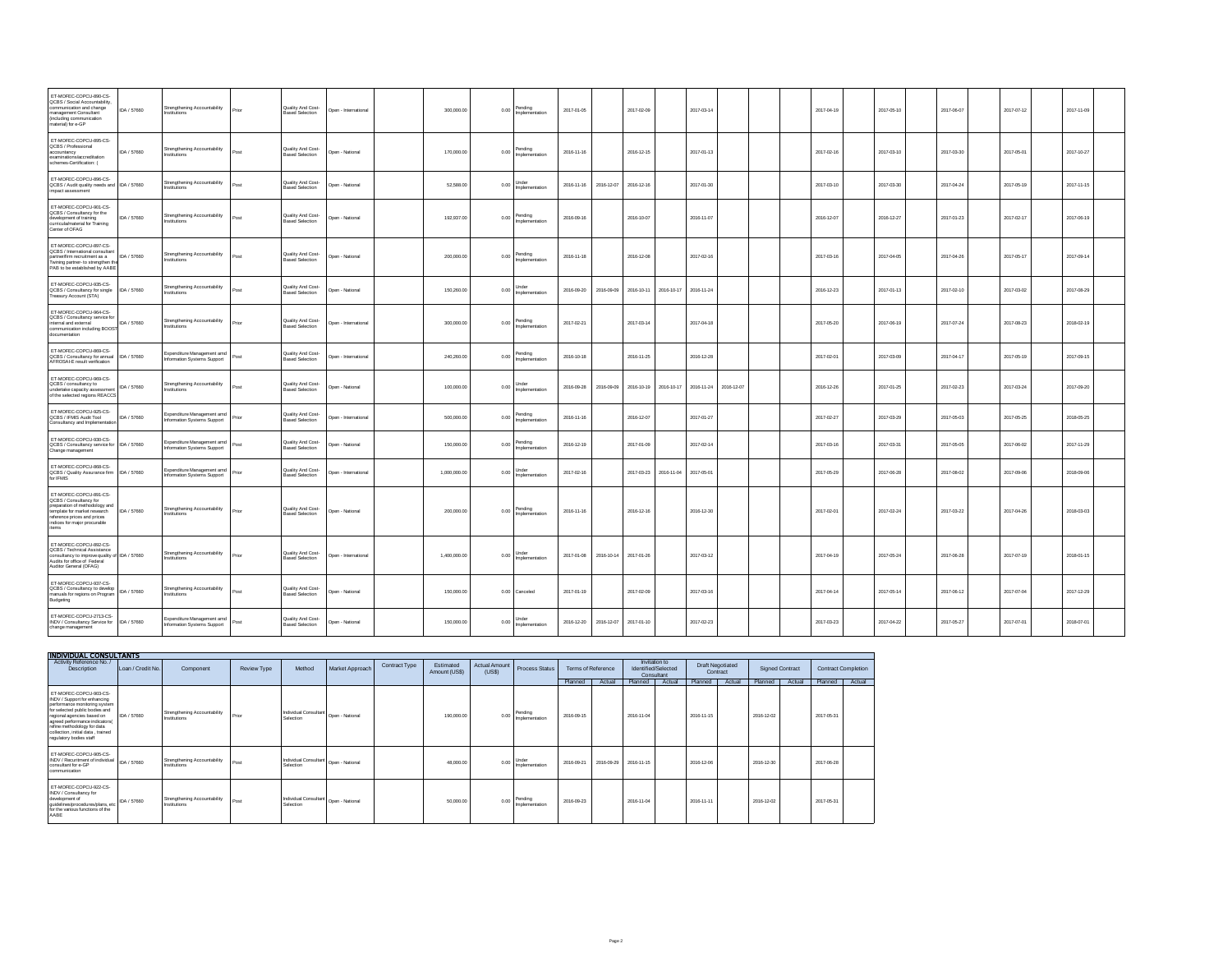| ET-MOFEC-COPCU-890-CS-<br>QCBS / Social Accountability<br>communication and change<br>management Consultant<br>(including communication<br>material) for e-GP                              | IDA / 57660 | Strengthening Accountability<br>Institutions              | Prior | Quality And Cost-<br><b>Based Selection</b> | Open - International | 300,000.00   | 0.00 | Pending<br>Implementation            | 2017-01-05 |            | 2017-02-09 |            | 2017-03-14 |            |  | 2017-04-19 | 2017-05-10 | 2017-06-07 | 2017-07-12 | 2017-11-09 |
|--------------------------------------------------------------------------------------------------------------------------------------------------------------------------------------------|-------------|-----------------------------------------------------------|-------|---------------------------------------------|----------------------|--------------|------|--------------------------------------|------------|------------|------------|------------|------------|------------|--|------------|------------|------------|------------|------------|
| ET-MOFEC-COPCU-895-CS-<br>QCBS / Professional<br>accountancy<br>examinations/accreditation<br>schemes-Certification: (                                                                     | IDA / 57660 | Strengthening Accountability<br>Institutions              | Post  | Quality And Cost-<br><b>Based Selection</b> | Open - National      | 170,000.00   |      | $0.00$ Pending<br>Implementation     | 2016-11-16 |            | 2016-12-15 |            | 2017-01-13 |            |  | 2017-02-16 | 2017-03-10 | 2017-03-30 | 2017-05-01 | 2017-10-27 |
| ET-MOFEC-COPCU-896-CS-<br>QCBS / Audit quality needs and IDA / 57660<br>impact assessment                                                                                                  |             | Strengthening Accountability<br>hstitutions               | Post  | Quality And Cost-<br><b>Based Selection</b> | Open - National      | 52,588.00    |      | $0.00$ Under<br>Implementation       | 2016-11-16 | 2016-12-07 | 2016-12-16 |            | 2017-01-30 |            |  | 2017-03-10 | 2017-03-30 | 2017-04-24 | 2017-05-19 | 2017-11-15 |
| ET-MOFEC-COPCU-901-CS-<br>QCBS / Consultancy for the<br>development of training<br>curricula/material for Training<br>Center of OFAG                                                       | IDA / 57660 | Strengthening Accountability<br>Institutions              | Post  | Quality And Cost-<br><b>Based Selection</b> | Open - National      | 192,937.00   |      | $0.00$ Pending<br>Implementation     | 2016-09-16 |            | 2016-10-07 |            | 2016-11-07 |            |  | 2016-12-07 | 2016-12-27 | 2017-01-23 | 2017-02-17 | 2017-06-19 |
| ET-MOFEC-COPCU-897-CS-<br>QCBS / International consultant<br>partner/firm recruitment as a<br>Twining partner- to strengthen the<br>PAB to be established by AABE                          | IDA / 57660 | Strengthening Accountability<br>Institutions              | Post  | Quality And Cost-<br><b>Based Selection</b> | Open - National      | 200,000.00   |      | $0.00$ Pending<br>Implementation     | 2016-11-18 |            | 2016-12-08 |            | 2017-02-16 |            |  | 2017-03-16 | 2017-04-05 | 2017-04-26 | 2017-05-17 | 2017-09-14 |
| ET-MOFEC-COPCU-935-CS-<br>QCBS / Consultancy for single<br>Treasury Account (STA)                                                                                                          | IDA / 57660 | Strengthening Accountability<br>Institutions              | Post  | Quality And Cost-<br><b>Based Selection</b> | Open - National      | 150,260.00   |      | 0.00 Under                           | 2016-09-20 | 2016-09-09 | 2016-10-11 | 2016-10-17 | 2016-11-24 |            |  | 2016-12-23 | 2017-01-13 | 2017-02-10 | 2017-03-02 | 2017-08-29 |
| ET-MOFEC-COPCU-964-CS-<br>QCBS / Consultancy service for<br>internal and external<br>communication including BOOST<br>documentation                                                        | IDA / 57660 | Strengthening Accountability<br>Institutions              | Prio  | Quality And Cost-<br><b>Based Selection</b> | Open - International | 300,000.00   | 0.00 | Pending<br>Implementation            | 2017-02-21 |            | 2017-03-14 |            | 2017-04-18 |            |  | 2017-05-20 | 2017-06-19 | 2017-07-24 | 2017-08-23 | 2018-02-19 |
| ET-MOFEC-COPCU-869-CS-<br>QCBS / Consultancy for annual   IDA / 57660<br>AFROSAI-E result verification                                                                                     |             | Expenditure Management amd<br>Information Systems Support | Post  | Quality And Cost-<br><b>Based Selection</b> | Open - International | 240,260.00   | 0.00 | Pending<br>Implementation            | 2016-10-18 |            | 2016-11-25 |            | 2016-12-28 |            |  | 2017-02-01 | 2017-03-09 | 2017-04-17 | 2017-05-19 | 2017-09-15 |
| ET-MOFEC-COPCU-969-CS-<br>QCBS / consultancy to<br>undertake capacity assessment<br>of the selected regions REACCS                                                                         | IDA / 57660 | Strengthening Accountability<br>Institutions              | Post  | Quality And Cost-<br><b>Based Selection</b> | Open - National      | 100,000.00   |      | $0.00$   Under<br>Implementation     | 2016-09-28 | 2016-09-09 | 2016-10-19 | 2016-10-17 | 2016-11-24 | 2016-12-07 |  | 2016-12-26 | 2017-01-25 | 2017-02-23 | 2017-03-24 | 2017-09-20 |
| ET-MOFEC-COPCU-925-CS-<br>QCBS / IFMIS Audit Tool<br>Consultancy and Implementation                                                                                                        | IDA / 57660 | Expenditure Management amd<br>Information Systems Support | Prior | Quality And Cost-<br><b>Based Selection</b> | Open - International | 500,000.00   |      | 0.00 Pending<br>Implementation       | 2016-11-16 |            | 2016-12-07 |            | 2017-01-27 |            |  | 2017-02-27 | 2017-03-29 | 2017-05-03 | 2017-05-25 | 2018-05-25 |
| ET-MOFEC-COPCU-930-CS-<br>QCBS / Consultancy service for   IDA / 57660<br>Change management                                                                                                |             | Expenditure Management amd<br>Information Systems Support | Post  | Quality And Cost-<br><b>Based Selection</b> | Doen - National      | 150,000.00   |      | $0.00$ Pending<br>Implementation     | 2016-12-19 |            | 2017-01-09 |            | 2017-02-14 |            |  | 2017-03-16 | 2017-03-31 | 2017-05-05 | 2017-06-02 | 2017-11-29 |
| ET-MOFEC-COPCU-868-CS-<br>QCBS / Quality Assurance firm   IDA / 57660<br>for IFMIS                                                                                                         |             | Expenditure Management amd<br>Information Systems Support | Prior | Quality And Cost-<br><b>Based Selection</b> | Open - International | 1,000,000.00 | 0.00 | <b>Under</b><br>Implementation       | 2017-02-16 |            | 2017-03-23 | 2016-11-04 | 2017-06-01 |            |  | 2017-05-29 | 2017-06-28 | 2017-08-02 | 2017-09-06 | 2018-09-06 |
| ET-MOFEC-COPCU-891-CS-<br>QCBS / Consultancy for<br>preparation of methodology and<br>template for market research<br>reference prices and prices<br>indices for major procurable<br>items | IDA / 57660 | Strengthening Accountability<br>Institutions              | Prior | Quality And Cost-<br><b>Based Selection</b> | Open - National      | 200,000.00   |      | $0.00$ Pending<br>Implementation     | 2016-11-16 |            | 2016-12-16 |            | 2016-12-30 |            |  | 2017-02-01 | 2017-02-24 | 2017-03-22 | 2017-04-26 | 2018-03-03 |
| ET-MOFEC-COPCU-892-CS-<br>QCBS / Technical Assistance<br>consultancy to improve quality of IDA / 57660<br>Audits for office of Federal<br>Auditor General (OFAG)                           |             | Strengthening Accountability<br>Institutions              | Prio  | Quality And Cost-<br><b>Based Selection</b> | Open - International | 1,400,000.00 |      | $0.00$ Under<br>Implementation       | 2017-01-08 | 2016-10-14 | 2017-01-26 |            | 2017-03-12 |            |  | 2017-04-19 | 2017-05-24 | 2017-06-28 | 2017-07-19 | 2018-01-15 |
| ET-MOFEC-COPCU-937-CS-<br>QCBS / Consultancy to develop   IDA / 57660<br>manuals for regions on Program<br>Budgeting                                                                       |             | Strengthening Accountability<br>hstitutions               | Post  | Quality And Cost-<br><b>Rased Selection</b> | Open - National      | 150,000.00   |      | 0.00 Canceled                        | 2017-01-19 |            | 2017-02-09 |            | 2017-03-16 |            |  | 2017-04-14 | 2017-05-14 | 2017-06-12 | 2017-07-04 | 2017-12-29 |
| ET-MOFEC-COPCU-2713-CS-<br>INDV / Consultancy Service for   IDA / 57660<br>change management                                                                                               |             | Expenditure Management amd<br>Information Systems Support | Post  | Quality And Cost-<br><b>Based Selection</b> | Open - National      | 150,000.00   |      | <b>Under</b><br>$0.00$ mplementation | 2016-12-20 | 2016-12-07 | 2017-01-10 |            | 2017-02-23 |            |  | 2017-03-23 | 2017-04-22 | 2017-05-27 | 2017-07-01 | 2018-07-01 |

| <b>INDIVIDUAL CONSULTANTS</b>                                                                                                                                                                                                                                                            |                   |                                              |                    |                                    |                 |               |                            |                         |                                |                           |            |                                                    |        |                                     |        |                 |        |                            |        |
|------------------------------------------------------------------------------------------------------------------------------------------------------------------------------------------------------------------------------------------------------------------------------------------|-------------------|----------------------------------------------|--------------------|------------------------------------|-----------------|---------------|----------------------------|-------------------------|--------------------------------|---------------------------|------------|----------------------------------------------------|--------|-------------------------------------|--------|-----------------|--------|----------------------------|--------|
| Activity Reference No./<br>Description                                                                                                                                                                                                                                                   | Loan / Credit No. | Component                                    | <b>Review Type</b> | Method                             | Market Approach | Contract Type | Estimated<br>Amount (US\$) | Actual Amount<br>(US\$) | <b>Process Status</b>          | <b>Terms of Reference</b> |            | Invitation to<br>Identified/Selected<br>Consultant |        | <b>Draft Negotiated</b><br>Contract |        | Signed Contract |        | <b>Contract Completion</b> |        |
|                                                                                                                                                                                                                                                                                          |                   |                                              |                    |                                    |                 |               |                            |                         |                                | Planned                   | Actual     | Planned                                            | Actual | Planned                             | Actual | Planned         | Actual | Planned                    | Actual |
| ET-MOFEC-COPCU-903-CS-<br>INDV / Support for enhancing<br>performance monitoring system<br>for selected public bodies and<br>regional agencies based on<br>agreed performance indicators(<br>refine methodology for data<br>collection, initial data, trained<br>regulatory bodies staff | IDA / 57660       | Strengthening Accountability<br>Institutions | Prior              | Individual Consultant<br>Selection | Open - National |               | 190,000.00                 | 0.00                    | Pending<br>Implementation      | 2016-09-15                |            | 2016-11-04                                         |        | 2016-11-15                          |        | 2016-12-02      |        | 2017-05-31                 |        |
| ET-MOFEC-COPCU-905-CS-<br>INDV / Recuritment of individual<br>consultant for e-GP<br>communication                                                                                                                                                                                       | IDA / 57660       | Strengthening Accountability<br>Institutions | Post               | Individual Consultant<br>Selection | Open - National |               | 48,000.00                  | 0.00                    | Under<br>Implementation        | 2016-09-21                | 2016-09-29 | 2016-11-15                                         |        | 2016-12-06                          |        | 2016-12-30      |        | 2017-06-28                 |        |
| ET-MOFEC-COPCU-922-CS-<br>INDV / Consultancy for<br>development of<br>guidelines/procedures/plans, etc.<br>for the various functions of the<br>AABE                                                                                                                                      | IDA / 57660       | Strengthening Accountability<br>Institutions | Post               | Individual Consultant<br>Selection | Open - National |               | 50,000.00                  |                         | Pendina<br>0.00 Implementation | 2016-09-23                |            | 2016-11-04                                         |        | 2016-11-11                          |        | 2016-12-02      |        | 2017-05-31                 |        |